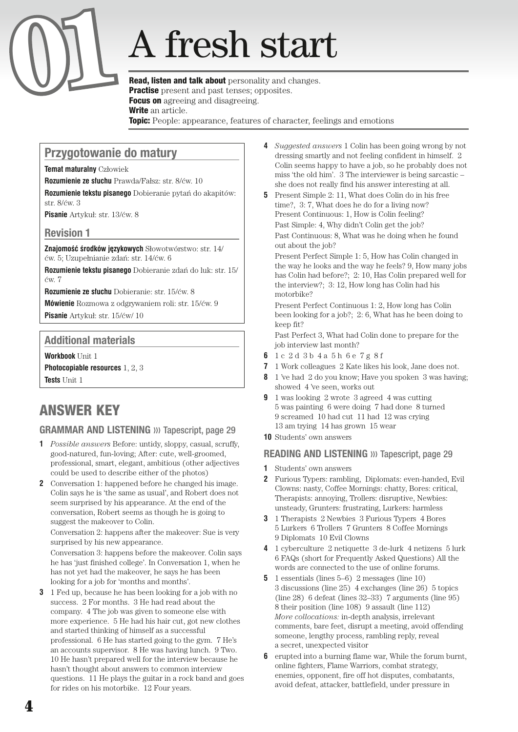# **A** fresh start

**Practise** present and past tenses; opposites. Focus on agreeing and disagreeing. Write an article. **Topic:** People: appearance, features of character, feelings and emotions

## Przygotowanie do matury

**Temat maturalny** Człowiek

**Rozumienie ze słuchu** Prawda/Fałsz: str. 8/ćw. 10

**Rozumienie tekstu pisanego** Dobieranie pytań do akapitów: str. 8/ćw. 3

**Pisanie** Artykuł: str. 13/ćw. 8

#### Revision 1

**Znajomość środków językowych** Słowotwórstwo: str. 14/ ćw. 5; Uzupełnianie zdań: str. 14/ćw. 6

**Rozumienie tekstu pisanego** Dobieranie zdań do luk: str. 15/ ćw. 7

**Rozumienie ze słuchu** Dobieranie: str. 15/ćw. 8

**Mówienie** Rozmowa z odgrywaniem roli: str. 15/ćw. 9 **Pisanie** Artykuł: str. 15/ćw/ 10

#### Additional materials

**Workbook** Unit 1

**Photocopiable resources** 1, 2, 3 **Tests** Unit 1

# ANSWER KEY

### **GRAMMAR AND LISTENING** >>> Tapescript, page 29

- **1** *Possible answers* Before: untidy, sloppy, casual, scruffy, good-natured, fun-loving; After: cute, well-groomed, professional, smart, elegant, ambitious (other adjectives could be used to describe either of the photos)
- **2** Conversation 1: happened before he changed his image. Colin says he is 'the same as usual', and Robert does not seem surprised by his appearance. At the end of the conversation, Robert seems as though he is going to suggest the makeover to Colin.

Conversation 2: happens after the makeover: Sue is very surprised by his new appearance.

Conversation 3: happens before the makeover. Colin says he has 'just finished college'. In Conversation 1, when he has not yet had the makeover, he says he has been looking for a job for 'months and months'.

**3** 1 Fed up, because he has been looking for a job with no success. 2 For months. 3 He had read about the company. 4 The job was given to someone else with more experience. 5 He had his hair cut, got new clothes and started thinking of himself as a successful professional. 6 He has started going to the gym. 7 He's an accounts supervisor. 8 He was having lunch. 9 Two. 10 He hasn't prepared well for the interview because he hasn't thought about answers to common interview questions. 11 He plays the guitar in a rock band and goes for rides on his motorbike. 12 Four years.

- **4** *Suggested answers* 1 Colin has been going wrong by not dressing smartly and not feeling confident in himself. 2 Colin seems happy to have a job, so he probably does not miss 'the old him'. 3 The interviewer is being sarcastic – she does not really find his answer interesting at all.
- **5** Present Simple 2: 11, What does Colin do in his free time?, 3: 7, What does he do for a living now? Present Continuous: 1, How is Colin feeling? Past Simple: 4, Why didn't Colin get the job? Past Continuous: 8, What was he doing when he found out about the job?

Present Perfect Simple 1: 5, How has Colin changed in the way he looks and the way he feels? 9, How many jobs has Colin had before?; 2: 10, Has Colin prepared well for the interview?; 3: 12, How long has Colin had his motorbike?

Present Perfect Continuous 1: 2, How long has Colin been looking for a job?; 2: 6, What has he been doing to keep fit?

Past Perfect 3, What had Colin done to prepare for the job interview last month?

- **6** 1 c 2 d 3 b 4 a 5 h 6 e 7 g 8 f
- **7** 1 Work colleagues 2 Kate likes his look, Jane does not.
- **8** 1 've had 2 do you know; Have you spoken 3 was having; showed 4 've seen, works out
- **9** 1 was looking 2 wrote 3 agreed 4 was cutting 5 was painting 6 were doing 7 had done 8 turned 9 screamed 10 had cut 11 had 12 was crying 13 am trying 14 has grown 15 wear
- **10** Students' own answers

#### READING AND LISTENING >>> Tapescript, page 29

- **1** Students' own answers
- **2** Furious Typers: rambling, Diplomats: even-handed, Evil Clowns: nasty, Coffee Mornings: chatty, Bores: critical, Therapists: annoying, Trollers: disruptive, Newbies: unsteady, Grunters: frustrating, Lurkers: harmless
- **3** 1 Therapists 2 Newbies 3 Furious Typers 4 Bores 5 Lurkers 6 Trollers 7 Grunters 8 Coffee Mornings 9 Diplomats 10 Evil Clowns
- **4** 1 cyberculture 2 netiquette 3 de-lurk 4 netizens 5 lurk 6 FAQs (short for Frequently Asked Questions) All the words are connected to the use of online forums.
- **5** 1 essentials (lines 5–6) 2 messages (line 10) 3 discussions (line 25) 4 exchanges (line 26) 5 topics (line 28) 6 defeat (lines 32–33) 7 arguments (line 95) 8 their position (line 108) 9 assault (line 112) *More collocations:* in-depth analysis, irrelevant comments, bare feet, disrupt a meeting, avoid offending someone, lengthy process, rambling reply, reveal a secret, unexpected visitor
- **6** erupted into a burning flame war, While the forum burnt, online fighters, Flame Warriors, combat strategy, enemies, opponent, fire off hot disputes, combatants, avoid defeat, attacker, battlefield, under pressure in